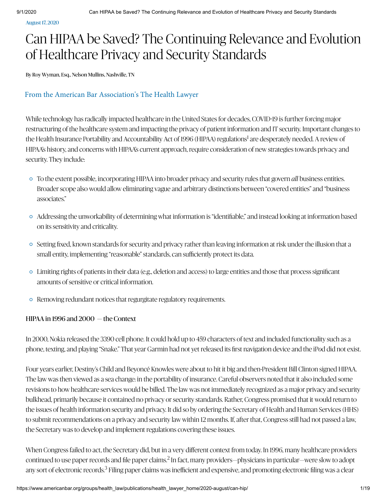August 17, 2020

# Can HIPAA be Saved? The Continuing Relevance and Evolution of Healthcare Privacy and Security Standards

By Roy Wyman, Esq., Nelson Mullins, Nashville, TN

### [From](https://www.facebook.com/sharer/sharer.php?u=https%3A%2F%2Fwww.americanbar.org%2Fgroups%2Fhealth_law%2Fpublications%2Fhealth_lawyer_home%2F2020-august%2Fcan-hip%2F) [the](https://twitter.com/home?status=Can%20HIPAA%20be%20Saved?%20%20The%20Continuing%20Relevance%20and%20Evolution%20of%20Healthcare%20Privacy%20and%20Security%20Standards%20-%20https%3A%2F%2Fwww.americanbar.org%2Fgroups%2Fhealth_law%2Fpublications%2Fhealth_lawyer_home%2F2020-august%2Fcan-hip%2F) American Bar Association's The Health Lawyer

While technology has radically impacted healthcare in the United States for decades, COVID-19 is further forcing major restructuring of the healthcare system and impacting the privacy of patient information and IT security. Important changes to the Health Insurance Portability and Accountability Act of 1996 (HIPAA) regulations<sup>1</sup> are desperately needed. A review of HIPAA's history, and concerns with HIPAA's current approach, require consideration of new strategies towards privacy and security. They include:

- To the extent possible, incorporating HIPAA into broader privacy and security rules that govern *all* business entities. Broader scope also would allow eliminating vague and arbitrary distinctions between "covered entities" and "business associates."
- Addressing the unworkability of determining what information is "identifiable," and instead looking at information based on its sensitivity and criticality.
- $\circ$  Setting fixed, known standards for security and privacy rather than leaving information at risk under the illusion that a small entity, implementing "reasonable" standards, can sufficiently protect its data.
- $\circ$  Limiting rights of patients in their data (e.g., deletion and access) to large entities and those that process significant amounts of sensitive or critical information.
- Removing redundant notices that regurgitate regulatory requirements.

### HIPAA in 1996 and  $2000 -$  the Context

In 2000, Nokia released the 3390 cell phone. It could hold up to 459 characters of text and included functionality such as a phone, texting, and playing "Snake." That year Garmin had not yet released its first navigation device and the iP*o*d did not exist.

Four years earlier, Destiny's Child and Beyoncé Knowles were about to hit it big and then-President Bill Clinton signed HIPAA. The law was then viewed as a sea change: in the portability of insurance. Careful observers noted that it also included some revisions to how healthcare services would be billed. The law was not immediately recognized as a major privacy and security bulkhead, primarily because it contained no privacy or security standards. Rather, Congress promised that it would return to the issues of health information security and privacy. It did so by ordering the Secretary of Health and Human Services (HHS) to submit recommendations on a privacy and security law within 12 months. If, after that, Congress still had not passed a law, the Secretary was to develop and implement regulations covering these issues.

When Congress failed to act, the Secretary did, but in a very different context from today. In 1996, many healthcare providers continued to use paper records and file paper claims.<sup>2</sup> In fact, many providers—physicians in particular—were slow to adopt any sort of electronic records.<sup>3</sup> Filing paper claims was inefficient and expensive, and promoting electronic filing was a clear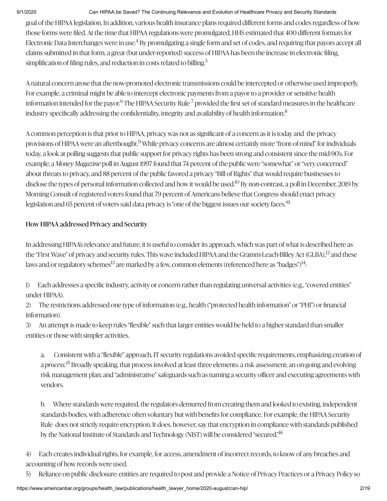goal of the HIPAA legislation. In addition, various health insurance plans required different forms and codes regardless of how those forms were filed. At the time that HIPAA regulations were promulgated, HHS estimated that 400 different formats for Electronic Data Interchanges were in use.<sup>4</sup> By promulgating a single form and set of codes, and requiring that payors accept all claims submitted in that form, a great (but under-reported) success of HIPAA has been the increase in electronic filing, simplification of filing rules, and reduction in costs related to billing. 5

A natural concern arose that the now-promoted electronic transmissions could be intercepted or otherwise used improperly. For example, a criminal might be able to intercept electronic payments from a payor to a provider or sensitive health information intended for the payor.<sup>6</sup> The HIPAA Security Rule  $^7$  provided the first set of standard measures in the healthcare industry specifically addressing the confidentiality, integrity and availability of health information. $^8$ 

A common perception is that prior to HIPAA, privacy was not as significant of a concern as it is today and the privacy provisions of HIPAA were an afterthought.<sup>9</sup> While privacy concerns are almost certainly more "front-of-mind" for individuals today, a look at polling suggests that public support for privacy rights has been strong and consistent since the mid-90's. For example, a *Money Magazine* poll in August 1997 found that 74 percent of the public were "somewhat" or "very concerned" about threats to privacy, and 88 percent of the public favored a privacy "Bill of Rights" that would require businesses to disclose the types of personal information collected and how it would be used.<sup>10</sup> By *non-*contrast, a poll in December, 2019 by Morning Consult of registered voters found that 79 percent of Americans believe that Congress should enact privacy legislation and 65 percent of voters said data privacy is "one of the biggest issues our society faces."<sup>11</sup>

### How HIPAA addressed Privacy and Security

In addressing HIPAA's relevance and future, it is useful to consider its approach, which was part of what is described here as the "First Wave" of privacy and security rules. This wave included HIPAA and the Gramm-Leach-Bliley Act (GLBA),<sup>12</sup> and these laws and/or regulatory schemes<sup>13</sup> are marked by a few, common elements (referenced here as "badges")<sup>14</sup>:

1) Each addresses a specific industry, activity or concern rather than regulating universal activities (e.g., "covered entities" under HIPAA).

2) The restrictions addressed one type of information (e.g., health ("protected health information" or "PHI") or financial information).

3) An attempt is made to keep rules "flexible" such that larger entities would be held to a higher standard than smaller entities or those with simpler activities.

a. Consistent with a "flexible" approach, IT security regulations avoided specific requirements, emphasizing creation of a *process.<sup>15</sup>* Broadly speaking, that process involved at least three elements: a risk assessment; an on-going and evolving risk management plan; and "administrative" safeguards such as naming a security officer and executing agreements with vendors.

b. Where standards were required, the regulators demurred from creating them and looked to existing, independent standards bodies, with adherence often voluntary but with benefits for compliance. For example, the HIPAA Security Rule does not strictly require encryption. It does, however, say that encryption in compliance with standards published by the National Institute of Standards and Technology (NIST) will be considered "secured."<sup>16</sup>

4) Each creates individual rights, for example, for access, amendment of incorrect records, to know of any breaches and accounting of how records were used.

5) Reliance on public disclosure: entities are required to post and provide a Notice of Privacy Practices or a Privacy Policy so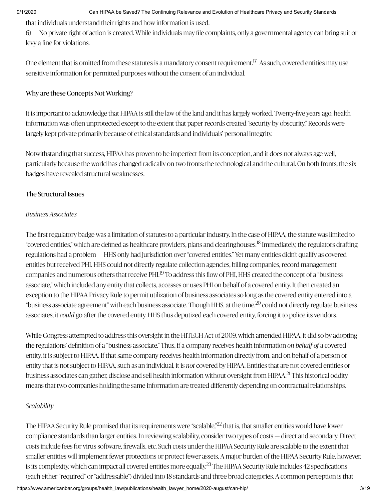that individuals understand their rights and how information is used.

6) No private right of action is created. While individuals may file complaints, only a governmental agency can bring suit or levy a fine for violations.

One element that is omitted from these statutes is a mandatory consent requirement.<sup>17</sup> As such, covered entities may use sensitive information for permitted purposes without the consent of an individual.

# Why are these Concepts Not Working?

It is important to acknowledge that HIPAA is still the law of the land and it has largely worked. Twenty-five years ago, health information was often unprotected except to the extent that paper records created "security by obscurity." Records were largely kept private primarily because of ethical standards and individuals' personal integrity.

Notwithstanding that success, HIPAA has proven to be imperfect from its conception, and it does not always age well, particularly because the world has changed radically on two fronts: the technological and the cultural. On both fronts, the six badges have revealed structural weaknesses.

# The Structural Issues

# *Business Associates*

The first regulatory badge was a limitation of statutes to a particular industry. In the case of HIPAA, the statute was limited to "covered entities," which are defined as healthcare providers, plans and clearinghouses.<sup>18</sup> Immediately, the regulators drafting regulations had a problem — HHS only had jurisdiction over "covered entities." Yet many entities didn't qualify as covered entities but received PHI. HHS could not directly regulate collection agencies, billing companies, record management companies and numerous others that receive PHI.<sup>19</sup> To address this flow of PHI, HHS created the concept of a "business associate," which included any entity that collects, accesses or uses PHI on behalf of a covered entity. It then created an exception to the HIPAA Privacy Rule to permit utilization of business associates so long as the covered entity entered into a "business associate agreement" with each business associate. Though HHS, at the time, $^{20}$  could not directly regulate business associates, it *could* go after the covered entity. HHS thus deputized each covered entity, forcing it to police its vendors.

While Congress attempted to address this oversight in the HITECH Act of 2009, which amended HIPAA, it did so by adopting the regulations' definition of a "business associate." Thus, if a company receives health information *on behalf of* a covered entity, it is subject to HIPAA. If that same company receives health information directly from, and on behalf of a person or entity that is not subject to HIPAA, such as an individual, it is *not* covered by HIPAA. Entities that are not covered entities or business associates can gather, disclose and sell health information without oversight from HIPAA.<sup>21</sup> This historical oddity means that two companies holding the same information are treated differently depending on contractual relationships.

# *Scalability*

The HIPAA Security Rule promised that its requirements were "scalable,"<sup>22</sup> that is, that smaller entities would have lower compliance standards than larger entities. In reviewing scalability, consider two types of costs — direct and secondary. Direct costs include fees for virus software, firewalls, etc. Such costs under the HIPAA Security Rule are scalable to the extent that smaller entities will implement fewer protections or protect fewer assets. A major burden of the HIPAA Security Rule, however, is its complexity, which can impact all covered entities more equally. $^{23}$  The HIPAA Security Rule includes 42 specifications (each either "required" or "addressable") divided into 18 standards and three broad categories. A common perception is that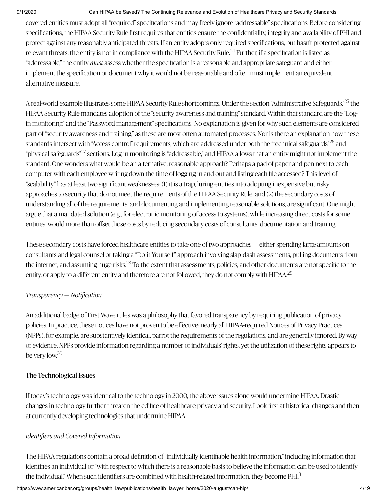covered entities must adopt all "required" specifications and may freely ignore "addressable" specifications. Before considering specifications, the HIPAA Security Rule first requires that entities ensure the confidentiality, integrity and availability of PHI and protect against any reasonably anticipated threats. If an entity adopts only required specifications, but hasn't protected against relevant threats, the entity is not in compliance with the HIPAA Security Rule.<sup>24</sup> Further, if a specification is listed as "addressable," the entity *must* assess whether the specification is a reasonable and appropriate safeguard and either implement the specification or document why it would not be reasonable and often must implement an equivalent alternative measure.

A real-world example illustrates some HIPAA Security Rule shortcomings. Under the section "Administrative Safeguards,"<sup>25</sup> the HIPAA Security Rule mandates adoption of the "security awareness and training" standard. Within that standard are the "Login monitoring" and the "Password management" specifications. No explanation is given for why such elements are considered part of "security awareness and training," as these are most often automated processes. Nor is there an explanation how these standards intersect with "Access control" requirements, which are addressed under both the "technical safeguards"<sup>26</sup> and "physical safeguards"<sup>27</sup> sections. Log-in monitoring is "addressable," and HIPAA allows that an entity might not implement the standard. One wonders what would be an alternative, reasonable approach? Perhaps a pad of paper and pen next to each computer with each employee writing down the time of logging in and out and listing each file accessed? This level of "scalability" has at least two significant weaknesses: (1) it is a trap, luring entities into adopting inexpensive but risky approaches to security that do not meet the requirements of the HIPAA Security Rule; and (2) the secondary costs of understanding all of the requirements, and documenting and implementing reasonable solutions, are significant. One might argue that a mandated solution (e.g., for electronic monitoring of access to systems), while increasing direct costs for some entities, would more than offset those costs by reducing secondary costs of consultants, documentation and training.

These secondary costs have forced healthcare entities to take one of two approaches — either spending large amounts on consultants and legal counsel or taking a "Do-it-Yourself" approach involving slap-dash assessments, pulling documents from the internet, and assuming huge risks.<sup>28</sup> To the extent that assessments, policies, and other documents are not specific to the entity, or apply to a different entity and therefore are not followed, they do not comply with HIPAA.<sup>29</sup>

### *Transparency — Notification*

An additional badge of First Wave rules was a philosophy that favored transparency by requiring publication of privacy policies. In practice, these notices have not proven to be effective: nearly all HIPAA-required Notices of Privacy Practices (NPPs), for example, are substantively identical, parrot the requirements of the regulations, and are generally ignored. By way of evidence, NPPs provide information regarding a number of individuals' rights, yet the utilization of these rights appears to be very low. 30

# The Technological Issues

If today's technology was identical to the technology in 2000, the above issues alone would undermine HIPAA. Drastic changes in technoloy further threaten the edifice of healthcare privacy and security. Look first at historical changes and then at currently developing technologies that undermine HIPAA.

# *Identifiers and Covered Information*

The HIPAA regulations contain a broad definition of "individually identifiable health information," including information that identifies an individual or "with respect to which there is a reasonable basis to believe the information can be used to identify the individual." When such identifiers are combined with health-related information, they become PHI.<sup>31</sup>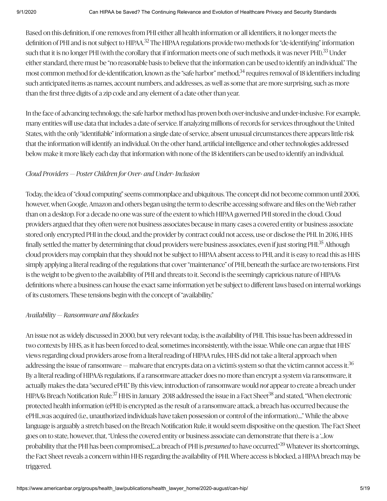Based on this definition, if one removes from PHI either all health information or all identifiers, it no longer meets the definition of PHI and is not subject to HIPAA.<sup>32</sup> The HIPAA regulations provide two methods for "de-identifying" information such that it is no longer PHI (with the corollary that if information meets one of such methods, it was never PHI).<sup>33</sup> Under either standard, there must be "no reasonable basis to believe that the information can be used to identify an individual." The most common method for de-identification, known as the "safe harbor" method,<sup>34</sup> requires removal of 18 identifiers including such anticipated items as names, account numbers, and addresses, as well as some that are more surprising, such as more than the first three digits of a zip code and any element of a date other than year.

In the face of advancing technoloy, the safe harbor method has proven both over-inclusive and under-inclusive. For example, many entities will use data that includes a date of service. If analyzing millions of records for services throughout the United States, with the only "identifiable" information a single date of service, absent unusual circumstances there appears little risk that the information will identify an individual. On the other hand, artificial intelligence and other technologies addressed below make it more likely each day that information with none of the 18 identifiers can be used to identify an individual.

# *Cloud Providers — Poster Children for Over- and Under- Inclusion*

Today, the idea of "cloud computing" seems commonplace and ubiquitous. The concept did not become common until 2006, however, when Google, Amazon and others began using the term to describe accessing software and files on the Web rather than on a desktop. For a decade no one was sure of the extent to which HIPAA governed PHI stored in the cloud. Cloud providers argued that they often were not business associates because in many cases a covered entity or business associate stored only encrypted PHI in the cloud, and the provider by contract could not access, use or disclose the PHI. In 2016, HHS finally settled the matter by determining that cloud providers were business associates, even if just storing PHI.<sup>35</sup> Although cloud providers may complain that they should not be subject to HIPAA absent access to PHI, and it is easy to read this as HHS simply applying a literal reading of the regulations that cover "maintenance" of PHI, beneath the surface are two tensions. First is the weight to be given to the availability of PHI and threats to it. Second is the seemingly capricious nature of HIPAA's definitions where a business can house the exact same information yet be subject to different laws based on internal workings of its customers. These tensions begin with the concept of "availability."

# *Availability — Ransomware and Blockades*

An issue not as widely discussed in 2000, but very relevant today, is the availability of PHI. This issue has been addressed in two contexts by HHS, as it has been forced to deal, sometimes inconsistently, with the issue. While one can argue that HHS' views regarding cloud providers arose from a literal reading of HIPAA rules, HHS did not take a literal approach when addressing the issue of ransomware — malware that encrypts data on a victim's system so that the victim cannot access it. $^{36}$ By a literal reading of HIPAA's regulations, if a ransomware attacker does no more than encrypt a system via ransomware, it actually makes the data "secured ePHI." By this view, introduction of ransomware would *not* appear to create a breach under HIPAA's Breach Notification Rule.<sup>37</sup> HHS in January 2018 addressed the issue in a Fact Sheet<sup>38</sup> and stated, "When electronic protected health information (ePHI) is encrypted as the result of a ransomware attack, a breach has occurred because the ePHI…was acquired (i.e., unauthorized individuals have taken possession or control of the information)…." While the above language is arguably a stretch based on the Breach Notification Rule, it would seem dispositive on the question. The Fact Sheet goes on to state, however, that, "Unless the covered entity or business associate can demonstrate that there is a '...low probability that the PHI has been compromised,:..a breach of PHI is *presumed* to have occurred."<sup>39</sup> Whatever its shortcomings, the Fact Sheet reveals a concern within HHS regarding the availability of PHI. Where access is blocked, a HIPAA breach may be triggered.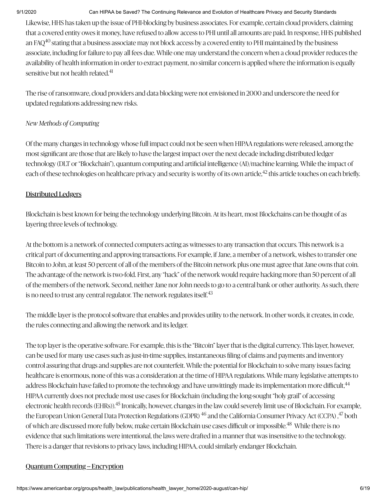Likewise, HHS has taken up the issue of PHI-blocking by business associates. For example, certain cloud providers, claiming that a covered entity owes it money, have refused to allow access to PHI until all amounts are paid. In response, HHS published an FAQ $^{40}$  stating that a business associate may not block access by a covered entity to PHI maintained by the business associate, including for failure to pay all fees due. While one may understand the concern when a cloud provider reduces the availability of health information in order to extract payment, no similar concern is applied where the information is equally sensitive but not health related.<sup>41</sup>

The rise of ransomware, cloud providers and data blocking were not envisioned in 2000 and underscore the need for updated regulations addressing new risks.

## *New Methods of Computing*

Of the many changes in technoloy whose full impact could not be seen when HIPAA regulations were released, among the most significant are those that are likely to have the largest impact over the next decade including distributed ledger technoloy (DLT or "Blockchain"), quantum computing and artificial intelligence (AI)/machine learning. While the impact of each of these technologies on healthcare privacy and security is worthy of its own article, $^{42}$  this article touches on each briefly.

## Distributed Ledgers

Blockchain is best known for being the technoloy underlying Bitcoin. At its heart, most Blockchains can be thought of as layering three levels of technoloy.

At the bottom is a network of connected computers acting as witnesses to any transaction that occurs. This network is a critical part of documenting and approving transactions. For example, if Jane, a member of a network, wishes to transfer one Bitcoin to John, at least 50 percent of all of the members of the Bitcoin network plus one must agree that Jane owns that coin. The advantage of the network is two-fold. First, any "hack" of the network would require hacking more than 50 percent of all of the members of the network. Second, neither Jane nor John needs to go to a central bank or other authority. As such, there is no need to trust any central regulator. The network regulates itself. $^{43}$ 

The middle layer is the protocol software that enables and provides utility to the network. In other words, it creates, in code, the rules connecting and allowing the network and its ledger.

The top layer is the operative software. For example, this is the "Bitcoin" layer that is the digital currency. This layer, however, can be used for many use cases such as just-in-time supplies, instantaneous filing of claims and payments and inventory control assuring that drugs and supplies are not counterfeit. While the potential for Blockchain to solve many issues facing healthcare is enormous, none of this was a consideration at the time of HIPAA regulations. While many legislative attempts to address Blockchain have failed to promote the technology and have unwittingly made its implementation more difficult,<sup>44</sup> HIPAA currently does not preclude most use cases for Blockchain (including the long-sought "holy grail" of accessing electronic health records (EHRs)).<sup>45</sup> Ironically, however, changes in the law could severely limit use of Blockchain. For example, the European Union General Data Protection Regulations (GDPR) <sup>46</sup> and the California Consumer Privacy Act (CCPA) ,<sup>47</sup> both of which are discussed more fully below, make certain Blockchain use cases difficult or impossible.<sup>48</sup> While there is no evidence that such limitations were intentional, the laws were drafted in a manner that was insensitive to the technoloy. There is a danger that revisions to privacy laws, including HIPAA, could similarly endanger Blockchain.

# Quantum Computing -- Encryption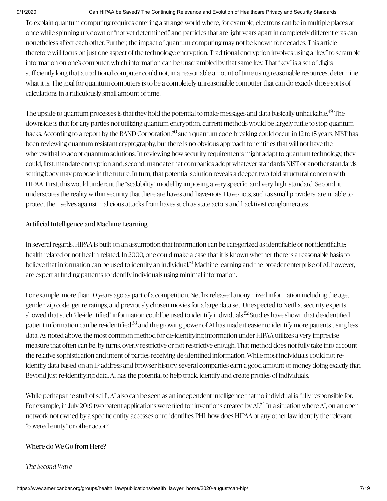To explain quantum computing requires entering a strange world where, for example, electrons can be in multiple places at once while spinning up, down or "not yet determined," and particles that are light years apart in completely different eras can nonetheless affect each other. Further, the impact of quantum computing may not be known for decades. This article therefore will focus on just one aspect of the technoloy: encryption. Traditional encryption involves using a "key" to scramble information on one's computer, which information can be unscrambled by that same key. That "key" is a set of digits sufficiently long that a traditional computer could not, in a reasonable amount of time using reasonable resources, determine what it is. The goal for quantum computers is to be a completely unreasonable computer that can do exactly those sorts of calculations in a ridiculously small amount of time.

The upside to quantum processes is that they hold the potential to make messages and data basically unhackable.<sup>49</sup> The downside is that for any parties not utilizing quantum encryption, current methods would be largely futile to stop quantum hacks. According to a report by the RAND Corporation,<sup>50</sup> such quantum code-breaking could occur in 12 to 15 years. NIST has been reviewing quantum-resistant cryptography, but there is no obvious approach for entities that will not have the wherewithal to adopt quantum solutions. In reviewing how security requirements might adapt to quantum technology, they could, first, mandate encryption and, second, mandate that companies adopt whatever standards NIST or another standardssetting body may propose in the future. In turn, that potential solution reveals a deeper, two-fold structural concern with HIPAA. First, this would undercut the "scalability" model by imposing a very specific, and very high, standard. Second, it underscores the reality within security that there are haves and have-nots. Have-nots, such as small providers, are unable to protect themselves against malicious attacks from haves such as state actors and hacktivist conglomerates.

### Artificial Intelligence and Machine Learning

In several regards, HIPAA is built on an assumption that information can be categorized as identifiable or not identifiable; health-related or not health-related. In 2000, one could make a case that it is known whether there is a reasonable basis to believe that information can be used to identify an individual.<sup>51</sup> Machine learning and the broader enterprise of AI, however, are expert at finding patterns to identify individuals using minimal information.

For example, more than 10 years ago as part of a competition, Netflix released anonymized information including the age, gender, zip code, genre ratings, and previously chosen movies for a large data set. Unexpected to Netflix, security experts showed that such "de-identified" information could be used to identify individuals.<sup>52</sup> Studies have shown that de-identified patient information can be re-identified, $^{53}$  and the growing power of AI has made it easier to identify more patients using less data. As noted above, the most common method for de-identifying information under HIPAA utilizes a very imprecise measure that often can be, by turns, overly restrictive or not restrictive enough. That method does not fully take into account the relative sophistication and intent of parties receiving de-identified information. While most individuals could not reidentify data based on an IP address and browser history, several companies earn a good amount of money doing exactly that. Beyond just re-identifying data, AI has the potential to help track, identify and create profiles of individuals.

While perhaps the stuff of sci-fi, AI also can be seen as an independent intelligence that no individual is fully responsible for. For example, in July 2019 two patent applications were filed for inventions created by AL<sup>54</sup> In a situation where AI, on an open network not owned by a specific entity, accesses or re-identifies PHI, how does HIPAA or any other law identify the relevant "covered entity" or other actor?

### Where do We Go from Here?

### *The Second Wave*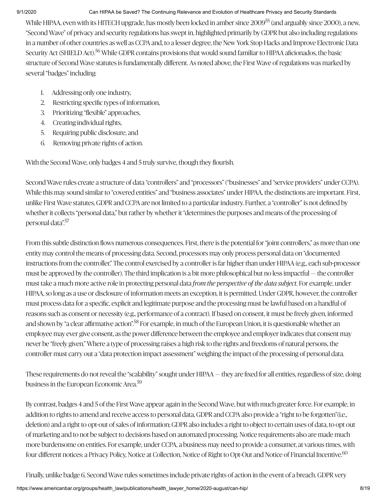While HIPAA, even with its HITECH upgrade, has mostly been locked in amber since 2009<sup>55</sup> (and arguably since 2000), a new, "Second Wave" of privacy and security regulations has swept in, highlighted primarily by GDPR but also including regulations in a number of other countries as well as CCPA and, to a lesser degree, the New York Stop Hacks and Improve Electronic Data Security Act (SHIELD Act).<sup>56</sup> While GDPR contains provisions that would sound familiar to HIPAA aficionados, the basic structure of Second Wave statutes is fundamentally different. As noted above, the First Wave of regulations was marked by several "badges" including:

- 1. Addressing only one industry,
- 2. Restricting specific types of information,
- 3. Prioritizing "flexible" approaches,
- 4. Creating individual rights,
- 5. Requiring public disclosure, and
- 6. Removing private rights of action.

With the Second Wave, only badges 4 and 5 truly survive, though they flourish.

Second Wave rules create a structure of data "controllers" and "processors" ("businesses" and "service providers" under CCPA). While this may sound similar to "covered entities" and "business associates" under HIPAA, the distinctions are important. First, unlike First Wave statutes, GDPR and CCPA are not limited to a particular industry. Further, a "controller" is not defined by whether it collects "personal data," but rather by whether it "determines the purposes and means of the processing of personal data". 57

From this subtle distinction flows numerous consequences. First, there is the potential for "joint controllers," as more than one entity may control the means of processing data. Second, processors may only process personal data on "documented instructions from the controller." The control exercised by a controller is far higher than under HIPAA (e.g., each sub-processor must be approved by the controller). The third implication is a bit more philosophical but no less impactful — the controller must take a much more active role in protecting personal data *from the perspective of the data subject*. For example, under HIPAA, so long as a use or disclosure of information meets an exception, it is permitted. Under GDPR, however, the controller must process data for a specific, explicit and legitimate purpose and the processing must be lawful based on a handful of reasons such as consent or necessity (e.g., performance of a contract). If based on consent, it must be freely given, informed and shown by "a clear affirmative action".<sup>58</sup> For example, in much of the European Union, it is questionable whether an employee may ever give consent, as the power difference between the employee and employer indicates that consent may never be "freely given." Where a type of processing raises a high risk to the rights and freedoms of natural persons, the controller must carry out a "data protection impact assessment" weighing the impact of the processing of personal data.

These requirements do not reveal the "scalability" sought under HIPAA — they are fixed for all entities, regardless of size, doing business in the European Economic Area. 59

By contrast, badges 4 and 5 of the First Wave appear again in the Second Wave, but with much greater force. For example, in addition to rights to amend and receive access to personal data, GDPR and CCPA also provide a "right to be forgotten"(i.e., deletion) and a right to opt-out of sales of information; GDPR also includes a right to object to certain uses of data, to opt out of marketing and to not be subject to decisions based on automated processing. Notice requirements also are made much more burdensome on entities. For example, under CCPA, a business may need to provide a consumer, at various times, with four different notices: a Privacy Policy, Notice at Collection, Notice of Right to Opt-Out and Notice of Financial Incentive.<sup>60</sup>

Finally, unlike badge 6, Second Wave rules sometimes include private rights of action in the event of a breach. GDPR very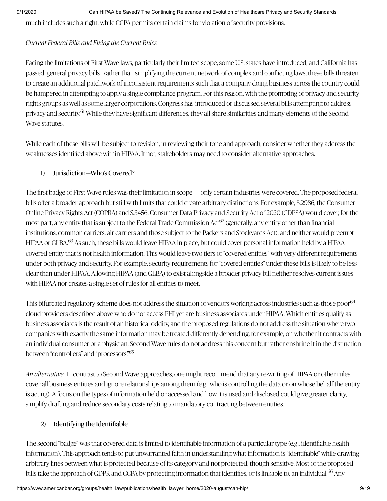much includes such a right, while CCPA permits certain claims for violation of security provisions.

### *Current Federal Bills and Fixing the Current Rules*

Facing the limitations of First Wave laws, particularly their limited scope, some U.S. states have introduced, and California has passed, general privacy bills. Rather than simplifying the current network of complex and conflicting laws, these bills threaten to create an additional patchwork of inconsistent requirements such that a company doing business across the country could be hampered in attempting to apply a single compliance program. For this reason, with the prompting of privacy and security rights groups as well as some larger corporations, Congress has introduced or discussed several bills attempting to address privacy and security.<sup>61</sup> While they have significant differences, they all share similarities and many elements of the Second Wave statutes.

While each of these bills will be subject to revision, in reviewing their tone and approach, consider whether they address the weaknesses identified above within HIPAA. If not, stakeholders may need to consider alternative approaches.

### 1) Jurisdiction—Who's Covered?

The first badge of First Wave rules was their limitation in scope — only certain industries were covered. The proposed federal bills offer a broader approach but still with limits that could create arbitrary distinctions. For example, S.2986, the Consumer Online Privacy Rights Act (COPRA) and S.3456, Consumer Data Privacy and Security Act of 2020 (CDPSA) would cover, for the most part, any entity that is subject to the Federal Trade Commission Act $^{62}$  (generally, any entity other than financial institutions, common carriers, air carriers and those subject to the Packers and Stockyards Act), and neither would preempt HIPAA or GLBA.<sup>63</sup> As such, these bills would leave HIPAA in place, but could cover personal information held by a HIPAAcovered entity that is not health information. This would leave two tiers of "covered entities" with very different requirements under both privacy and security. For example, security requirements for "covered entities" under these bills is likely to be less clear than under HIPAA. Allowing HIPAA (and GLBA) to exist alongside a broader privacy bill neither resolves current issues with HIPAA nor creates a single set of rules for all entities to meet.

This bifurcated regulatory scheme does not address the situation of vendors working across industries such as those poor<sup>64</sup> cloud providers described above who do not access PHI yet are business associates under HIPAA. Which entities qualify as business associates is the result of an historical oddity, and the proposed regulations do not address the situation where two companies with exactly the same information may be treated differently depending, for example, on whether it contracts with an individual consumer or a physician. Second Wave rules do not address this concern but rather enshrine it in the distinction between "controllers" and "processors." 65

*An alternative:* In contrast to Second Wave approaches, one might recommend that any re-writing of HIPAA or other rules cover all business entities and ignore relationships among them (e.g., who is controlling the data or on whose behalf the entity is acting). A focus on the types of information held or accessed and how it is used and disclosed could give greater clarity, simplify drafting and reduce secondary costs relating to mandatory contracting between entities.

### 2) Identifying the Identifiable

The second "badge" was that covered data is limited to identifiable information of a particular type (e.g., identifiable health information). This approach tends to put unwarranted faith in understanding what information is "identifiable" while drawing arbitrary lines between what is protected because of its category and not protected, though sensitive. Most of the proposed bills take the approach of GDPR and CCPA by protecting information that identifies, or is linkable to, an individual. $^{66}$  Any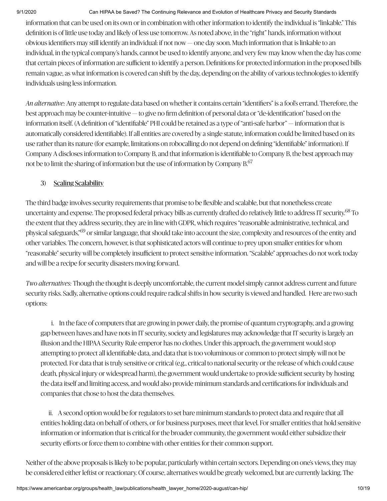information that can be used on its own or in combination with other information to identify the individual is "linkable." This definition is of little use today and likely of less use tomorrow. As noted above, in the "right" hands, information without obvious identifiers may still identify an individual: if not now — one day soon. Much information that is linkable to an individual, in the typical company's hands, cannot be used to identify anyone, and very few may know when the day has come that certain pieces of information are sufficient to identify a person. Definitions for protected information in the proposed bills remain vague, as what information is covered can shift by the day, depending on the ability of various technologies to identify individuals using less information.

*An alternative:* Any attempt to regulate data based on whether it contains certain "identifiers" is a fool's errand. Therefore, the best approach may be counter-intuitive — to give no firm definition of personal data or "de-identification" based on the information itself. (A definition of "identifiable" PHI could be retained as a type of "anti-safe harbor" — information that is automatically considered identifiable). If all entities are covered by a single statute, information could be limited based on its use rather than its nature (for example, limitations on robocalling do not depend on defining "identifiable" information). If Company A discloses information to Company B, and that information is identifiable to Company B, the best approach may not be to limit the sharing of information but the use of information by Company B.<sup>67</sup>

### 3) Scaling Scalability

The third badge involves security requirements that promise to be flexible and scalable, but that nonetheless create uncertainty and expense. The proposed federal privacy bills as currently drafted do relatively little to address IT security. $^{68}$  To the extent that they address security, they are in line with GDPR, which requires "reasonable administrative, technical, and physical safeguards,"<sup>69</sup> or similar language, that should take into account the size, complexity and resources of the entity and other variables. The concern, however, is that sophisticated actors will continue to prey upon smaller entities for whom "reasonable" security will be completely insufficient to protect sensitive information. "Scalable" approaches do not work today and will be a recipe for security disasters moving forward.

*Two alternatives:* Though the thought is deeply uncomfortable, the current model simply cannot address current and future security risks. Sadly, alternative options could require radical shifts in how security is viewed and handled. Here are two such options:

 i. In the face of computers that are growing in power daily, the promise of quantum cryptography, and a growing gap between haves and have nots in IT security, society and legislatures may acknowledge that IT security is largely an illusion and the HIPAA Security Rule emperor has no clothes. Under this approach, the government would stop attempting to protect all identifiable data, and data that is too voluminous or common to protect simply will not be protected. For data that is truly sensitive or critical (e.g., critical to national security or the release of which could cause death, physical injury or widespread harm), the government would undertake to provide sufficient security by hosting the data itself and limiting access, and would also provide minimum standards and certifications for individuals and companies that chose to host the data themselves.

ii. A second option would be for regulators to set bare minimum standards to protect data and require that all entities holding data on behalf of others, or for business purposes, meet that level. For smaller entities that hold sensitive information or information that is critical for the broader community, the government would either subsidize their security efforts or force them to combine with other entities for their common support.

Neither of the above proposals is likely to be popular, particularly within certain sectors. Depending on one's views, they may be considered either leftist or reactionary. Of course, alternatives would be greatly welcomed, but are currently lacking. The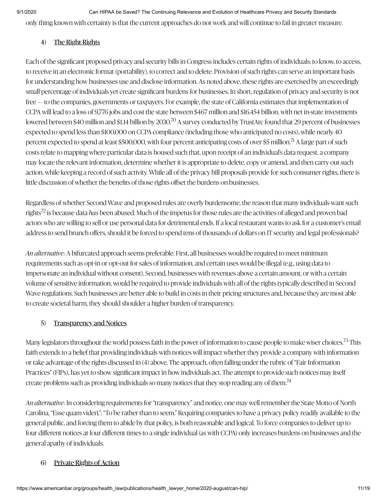only thing known with certainty is that the current approaches do not work and will continue to fail in greater measure.

### 4) The Right Rights

Each of the significant proposed privacy and security bills in Congress includes certain rights of individuals: to know, to access, to receive in an electronic format (portability), to correct and to delete. Provision of such rights can serve an important basis for understanding how businesses use and disclose information. As noted above, these rights are exercised by an exceedingly small percentage of individuals yet create significant burdens for businesses. In short, regulation of privacy and security is not free — to the companies, governments or taxpayers. For example, the state of California estimates that implementation of CCPA will lead to a loss of 9,776 jobs and cost the state between \$467 million and \$16.454 billion, with net in-state investments lowered between \$40 million and \$1.14 billion by 2030.<sup>70</sup> A survey conducted by TrustArc found that 29 percent of businesses expected to spend less than \$100,000 on CCPA compliance (including those who anticipated no costs), while nearly 40 percent expected to spend at least \$500,000, with four percent anticipating costs of over \$5 million.<sup>71</sup> A large part of such costs relate to mapping where particular data is housed such that, upon receipt of an individual's data request, a company may locate the relevant information, determine whether it is appropriate to delete, copy or amend, and then carry out such action, while keeping a record of such activity. While all of the privacy bill proposals provide for such consumer rights, there is little discussion of whether the benefits of those rights offset the burdens on businesses.

Regardless of whether Second Wave and proposed rules are overly burdensome, the reason that many individuals want such rights<sup>72</sup> is because data *has* been abused. Much of the impetus for those rules are the activities of alleged and proven bad actors who are willing to sell or use personal data for detrimental ends. If a local restaurant wants to ask for a customer's email address to send brunch offers, should it be forced to spend tens of thousands of dollars on IT security and legal professionals?

*An alternative:* A bifurcated approach seems preferable. First, all businesses would be required to meet minimum requirements such as opt-in or opt-out for sales of information, and certain uses would be illegal (e.g., using data to impersonate an individual without consent). Second, businesses with revenues above a certain amount, or with a certain volume of sensitive information, would be required to provide individuals with all of the rights typically described in Second Wave regulations. Such businesses are better able to build in costs in their pricing structures and, because they are most able to create societal harm, they should shoulder a higher burden of transparency.

### 5) Transparency and Notices

Many legislators throughout the world possess faith in the power of information to cause people to make wiser choices.<sup>73</sup> This faith extends to a belief that providing individuals with notices will impact whether they provide a company with information or take advantage of the rights discussed in (4) above. The approach, often falling under the rubric of "Fair Information Practices" (FIPs), has yet to show significant impact in how individuals act. The attempt to provide such notices may itself create problems such as providing individuals so many notices that they stop reading any of them. $^{74}$ 

*An alternative:* In considering requirements for "transparency" and notice, one may well remember the State Motto of North Carolina, "Esse quam videri,": "To be rather than to seem." Requiring companies to have a privacy policy readily available to the general public, and forcing them to abide by that policy, is both reasonable and logical. To force companies to deliver up to four different notices at four different times to a single individual (as with CCPA) only increases burdens on businesses and the general apathy of individuals.

### 6) Private Rights of Action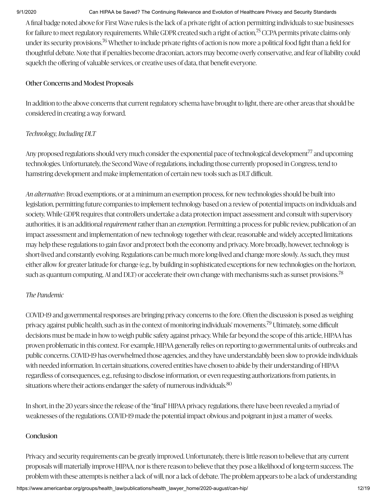A final badge noted above for First Wave rules is the lack of a private right of action permitting individuals to sue businesses for failure to meet regulatory requirements. While GDPR created such a right of action, $^{75}$  CCPA permits private claims only under its security provisions.<sup>76</sup> Whether to include private rights of action is now more a political food fight than a field for thoughtful debate. Note that if penalties become draconian, actors may become overly conservative, and fear of liability could squelch the offering of valuable services, or creative uses of data, that benefit everyone.

### Other Concerns and Modest Proposals

In addition to the above concerns that current regulatory schema have brought to light, there are other areas that should be considered in creating a way forward.

### *Technoloy, Including DLT*

Any proposed regulations should very much consider the exponential pace of technological development<sup>77</sup> and upcoming technologies. Unfortunately, the Second Wave of regulations, including those currently proposed in Congress, tend to hamstring development and make implementation of certain new tools such as DLT difficult.

*An alternative:* Broad exemptions, or at a minimum an exemption process, for new technologies should be built into legislation, permitting future companies to implement technoloy based on a review of potential impacts on individuals and society. While GDPR requires that controllers undertake a data protection impact assessment and consult with supervisory authorities, it is an additional *requirement* rather than an *exemption*. Permitting a process for public review, publication of an impact assessment and implementation of new technology together with clear, reasonable and widely accepted limitations may help these regulations to gain favor and protect both the economy and privacy. More broadly, however, technoloy is short-lived and constantly evolving. Regulations can be much more long-lived and change more slowly. As such, they must either allow for greater latitude for change (e.g., by building in sophisticated exceptions for new technologies on the horizon, such as quantum computing, AI and DLT) or accelerate their own change with mechanisms such as sunset provisions. $^{78}$ 

### *The Pandemic*

COVID19 and governmental responses are bringing privacy concerns to the fore. Often the discussion is posed as weighing privacy against public health, such as in the context of monitoring individuals' movements.<sup>79</sup> Ultimately, some difficult decisions must be made in how to weigh public safety against privacy. While far beyond the scope of this article, HIPAA has proven problematic in this context. For example, HIPAA generally relies on reporting to governmental units of outbreaks and public concerns. COVID19 has overwhelmed those agencies, and they have understandably been slow to provide individuals with needed information. In certain situations, covered entities have chosen to abide by their understanding of HIPAA regardless of consequences, e.g., refusing to disclose information, or even requesting authorizations from patients, in situations where their actions endanger the safety of numerous individuals. $^{80}$ 

In short, in the 20 years since the release of the "final" HIPAA privacy regulations, there have been revealed a myriad of weaknesses of the regulations. COVID19 made the potential impact obvious and poignant in just a matter of weeks.

### **Conclusion**

Privacy and security requirements can be greatly improved. Unfortunately, there is little reason to believe that any current proposals will materially improve HIPAA, nor is there reason to believe that they pose a likelihood of long-term success. The problem with these attempts is neither a lack of will, nor a lack of debate. The problem appears to be a lack of understanding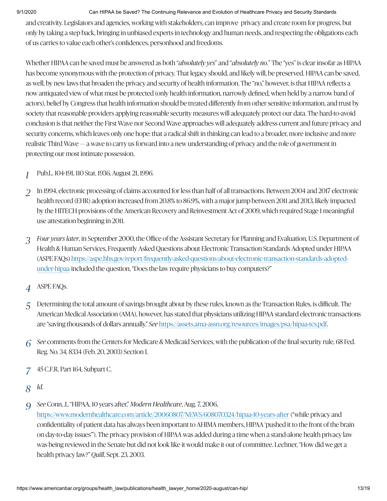and creativity. Legislators and agencies, working with stakeholders, can improve privacy and create room for progress, but only by taking a step back, bringing in unbiased experts in technoloy and human needs, and respecting the obligations each of us carries to value each other's confidences, personhood and freedoms.

Whether HIPAA can be saved must be answered as both "*absolutely yes*" and "*absolutely no.*" The "yes" is clear insofar as HIPAA has become synonymous with the protection of privacy. That legacy should, and likely will, be preserved. HIPAA can be saved, as well, by new laws that broaden the privacy and security of health information. The "no," however, is that HIPAA reflects a now antiquated view of what must be protected (only health information, narrowly defined, when held by a narrow band of actors), belief by Congress that health information should be treated differently from other sensitive information, and trust by society that reasonable providers applying reasonable security measures will adequately protect our data. The hard-to-avoid conclusion is that neither the First Wave nor Second Wave approaches will adequately address current and future privacy and security concerns, which leaves only one hope: that a radical shift in thinking can lead to a broader, more inclusive and more realistic Third Wave — a wave to carry us forward into a new understanding of privacy and the role of government in protecting our most intimate possession.

- Pub.L. 104191, 110 Stat. 1936, August 21, 1996. *1*
- In 1994, electronic processing of claims accounted for less than half of all transactions. Between 2004 and 2017 electronic health record (EHR) adoption increased from 20.8% to 86.9%, with a major jump between 2011 and 2013, likely impacted by the HITECH provisions of the American Recovery and Reinvestment Act of 2009, which required Stage 1 meaningful use attestation beginning in 2011. *2*
- *Four years later*, in September 2000, the Office of the Assistant Secretary for Planning and Evaluation, U.S. Department of Health & Human Services, Frequently Asked Questions about Electronic Transaction Standards Adopted under HIPAA (ASPE FAQs) [https://aspe.hhs.gov/report/frequently-asked-questions-about-electronic-transaction-standards-adopted](https://aspe.hhs.gov/report/frequently-asked-questions-about-electronic-transaction-standards-adopted-under-hipaa)under-hipaa included the question, "Does the law require physicians to buy computers?" *3*
- ASPE FAQs. *4*
- Determining the total amount of savings brought about by these rules, known as the Transaction Rules, is difficult. The American Medical Association (AMA), however, has stated that physicians utilizing HIPAA standard electronic transactions are "saving thousands of dollars annually." *See* <https://assets.ama-assn.org/resources/images/psa/hipaa-tcs.pdf>. *5*
- *See* comments from the Centers for Medicare & Medicaid Services, with the publication of the final security rule, 68 Fed. Reg. No. 34, 8334 (Feb. 20, 2003) Section I. *6*
- 45 C.F.R. Part 164, Subpart C. *7*
- *Id. 8*
- *See* Conn, J., "HIPAA, 10 years after," *Modern Healthcare*, Aug. 7, 2006, *9*

<https://www.modernhealthcare.com/article/20060807/NEWS/608070324/hipaa-10-years-after> ("while privacy and confidentiality of patient data has always been important to AHIMA members, HIPAA 'pushed it to the front of the brain on day-to-day issues'"). The privacy provision of HIPAA was added during a time when a stand-alone health privacy law was being reviewed in the Senate but did not look like it would make it out of committee. Lechner, "How did we get a health privacy law?" *Quill*, Sept. 23, 2003.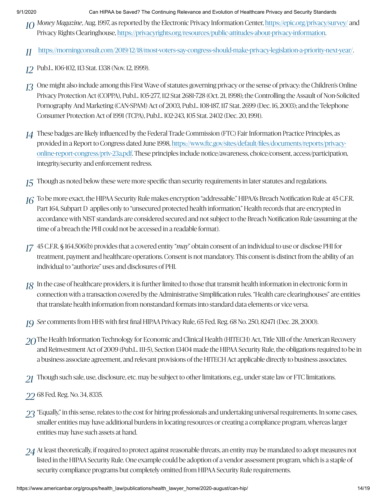- 10Money Magazine, Aug. 1997, as reported by the Electronic Privacy Information Center, https://epic.org/privacy/survey/ and Privacy Rights Clearinghouse, <https://privacyrights.org/resources/public-attitudes-about-privacy-information>.
- . *11* <https://morningconsult.com/2019/12/18/most-voters-say-congress-should-make-privacy-legislation-a-priority-next-year/>
- Pub.L. 106102, 113 Stat. 1338 (Nov. 12, 1999). *12*
- One might also include among this First Wave of statutes governing privacy or the sense of privacy: the Children's Online *13* Privacy Protection Act (COPPA), Pub.L. 105277, 112 Stat 2681728 (Oct. 21, 1998); the Controlling the Assault of Non-Solicited Pornography And Marketing (CANSPAM) Act of 2003, Pub.L. 108187, 117 Stat. 2699 (Dec. 16, 2003); and the Telephone Consumer Protection Act of 1991 (TCPA), Pub.L. 102243, 105 Stat. 2402 (Dec. 20, 1991).
- These badges are likely influenced by the Federal Trade Commission (FTC) Fair Information Practice Principles, as *14* provided in a Report to Congress dated June 1998, [https://www.ftc.gov/sites/default/files/documents/reports/privacy](https://www.ftc.gov/sites/default/files/documents/reports/privacy-online-report-congress/priv-23a.pdf)online-report-congress/priv-23a.pdf. These principles include notice/awareness, choice/consent, access/participation, integrity/security and enforcement redress.
- Though as noted below these were more specific than security requirements in later statutes and regulations. *15*
- $16$  To be more exact, the HIPAA Security Rule makes encryption "addressable." HIPAA's Breach Notification Rule at 45 C.F.R. Part 164, Subpart D applies only to "unsecured protected health information." Health records that are encrypted in accordance with NIST standards are considered secured and not subject to the Breach Notification Rule (assuming at the time of a breach the PHI could not be accessed in a readable format).
- 45 C.F.R. § 164.506(b) provides that a covered entity "*may*" obtain consent of an individual to use or disclose PHI for *17* treatment, payment and healthcare operations. Consent is not mandatory. This consent is distinct from the ability of an individual to "authorize" uses and disclosures of PHI.
- In the case of healthcare providers, it is further limited to those that transmit health information in electronic form in *18* connection with a transaction covered by the Administrative Simplification rules. "Health care clearinghouses" are entities that translate health information from nonstandard formats into standard data elements or vice versa.
- *See* comments from HHS with first final HIPAA Privacy Rule, <sup>65</sup> Fed. Reg. <sup>68</sup> No. 250, <sup>82471</sup> (Dec. 28, 2000). *19*
- The Health Information Technoloy for Economic and Clinical Health (HITECH) Act, Title XIII of the American Recovery *20* and Reinvestment Act of 2009 (Pub.L. 1115), Section 13404 made the HIPAA Security Rule, the obligations required to be in a business associate agreement, and relevant provisions of the HITECH Act applicable directly to business associates.
- Though such sale, use, disclosure, etc. may be subject to other limitations, e.g., under state law or FTC limitations. *21*
- 68 Fed. Reg. No. 34, 8335. *22*
- $23$  "Equally," in this sense, relates to the cost for hiring professionals and undertaking universal requirements. In some cases, smaller entities may have additional burdens in locating resources or creating a compliance program, whereas larger entities may have such assets at hand.
- At least theoretically, if required to protect against reasonable threats, an entity may be mandated to adopt measures not *24*listed in the HIPAA Security Rule. One example could be adoption of a vendor assessment program, which is a staple of security compliance programs but completely omitted from HIPAA Security Rule requirements.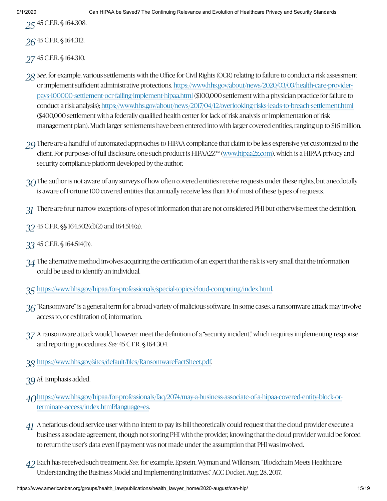45 C.F.R. § 164.308. *25*

- 45 C.F.R. § 164.312. *26*
- 45 C.F.R. § 164.310. *27*
- *See,* for example, various settlements with the Office for Civil Rights (OCR) relating to failure to conduct a risk assessment *28* or implement sufficient administrative protections. [https://www.hhs.gov/about/news/2020/03/03/health-care-provider](https://www.hhs.gov/about/news/2020/03/03/health-care-provider-pays-100000-settlement-ocr-failing-implement-hipaa.html)pays-100000-settlement-ocr-failing-implement-hipaa.html (\$100,000 settlement with a physician practice for failure to conduct a risk analysis); <https://www.hhs.gov/about/news/2017/04/12/overlooking-risks-leads-to-breach-settlement.html> (\$400,000 settlement with a federally qualified health center for lack of risk analysis or implementation of risk management plan). Much larger settlements have been entered into with larger covered entities, ranging up to \$16 million.
- There are a handful of automated approaches to HIPAA compliance that claim to be less expensive yet customized to the *29* client. For purposes of full disclosure, one such product is HIPAA2Z™ ([www.hipaa2z.com](http://www.hipaa2z.com/)), which is a HIPAA privacy and security compliance platform developed by the author.
- The author is not aware of any surveys of how often covered entities receive requests under these rights, but anecdotally *30* is aware of Fortune 100 covered entities that annually receive less than 10 of most of these types of requests.
- There are four narrow exceptions of types of information that are not considered PHI but otherwise meet the definition. *31*
- 45 C.F.R. §§ 164.502(d)(2) and 164.514(a). *32*
- 45 C.F.R. § 164.514(b). *33*
- The alternative method involves acquiring the certification of an expert that the risk is very small that the information *34* could be used to identify an individual.
- . *35* <https://www.hhs.gov/hipaa/for-professionals/special-topics/cloud-computing/index.html>
- $36$  "Ransomware" is a general term for a broad variety of malicious software. In some cases, a ransomware attack may involve access to, or exfiltration of, information.
- A ransomware attack would, however, meet the definition of a "security incident," which requires implementing response *37* and reporting procedures. *See* 45 C.F.R. § 164.304.
- . *38* <https://www.hhs.gov/sites/default/files/RansomwareFactSheet.pdf>
- *Id.* Emphasis added. *39*
- . terminate-access/index.html?language=es *40* [https://www.hhs.gov/hipaa/for-professionals/faq/2074/may-a-business-associate-of-a-hipaa-covered-entity-block-or-](https://www.hhs.gov/hipaa/for-professionals/faq/2074/may-a-business-associate-of-a-hipaa-covered-entity-block-or-terminate-access/index.html?language=es)
- A nefarious cloud service user with no intent to pay its bill theoretically could request that the cloud provider execute a *41* business associate agreement, though not storing PHI with the provider, knowing that the cloud provider would be forced to return the user's data even if payment was not made under the assumption that PHI was involved.
- Each has received such treatment. *See*, for example, Epstein, Wyman and Wilkinson, "Blockchain Meets Healthcare: *42*Understanding the Business Model and Implementing Initiatives," ACC Docket, Aug. 28, 2017,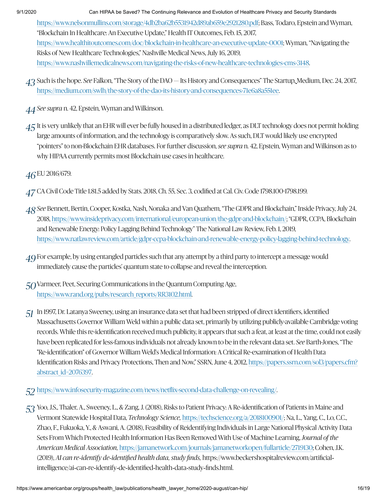<https://www.nelsonmullins.com/storage/4db2ba62b5531942d89ab659e2921280.pdf>; Bass, Todaro, Epstein and Wyman, "Blockchain In Healthcare: An Executive Update," Health IT Outcomes, Feb. 15, 2017, <https://www.healthitoutcomes.com/doc/blockchain-in-healthcare-an-executive-update-0001>; Wyman, "Navigating the Risks of New Healthcare Technologies," Nashville Medical News, July 16, 2019, . <https://www.nashvillemedicalnews.com/navigating-the-risks-of-new-healthcare-technologies-cms-3148>

- Such is the hope. *See* Falkon, "The Story of the DAO Its History and Consequences" The Startup, Medium, Dec. 24, 2017, *43* . <https://medium.com/swlh/the-story-of-the-dao-its-history-and-consequences-71e6a8a551ee>
- *See supra* n. 42, Epstein, Wyman and Wilkinson. *44*
- $45$  It is very unlikely that an EHR will ever be fully housed in a distributed ledger, as DLT technology does not permit holding large amounts of information, and the technology is comparatively slow. As such, DLT would likely use encrypted "pointers" to non-Blockchain EHR databases. For further discussion, *see supra* n. 42, Epstein, Wyman and Wilkinson as to why HIPAA currently permits most Blockchain use cases in healthcare.

EU 2016/679. *46*

- 47 CA Civil Code Title 1.81.5 added by Stats. 2018, Ch. 55, Sec. 3, codified at Cal. Civ. Code 1798.100-1798.199.
- *See* Bennett, Bertin, Cooper, Kostka, Nash, Nonaka and Van Quathem, "The GDPR and Blockchain," Inside Privacy, July 24, *48* 2018, <https://www.insideprivacy.com/international/european-union/the-gdpr-and-blockchain/>; "GDPR, CCPA, Blockchain and Renewable Enery: Policy Lagging Behind Technoloy" The National Law Review, Feb. 1, 2019, . [https://www.natlawreview.com/article/gdpr-ccpa-blockchain-and-renewable-enery-policy-lagging-behind-technoloy](https://www.natlawreview.com/article/gdpr-ccpa-blockchain-and-renewable-energy-policy-lagging-behind-technology)
- For example, by using entangled particles such that any attempt by a third party to intercept a message would *49* immediately cause the particles' quantum state to collapse and reveal the interception.
- Varmeer, Peet, Securing Communications in the Quantum Computing Age, *50* . [https://www.rand.org/pubs/research\\_reports/RR3102.html](https://www.rand.org/pubs/research_reports/RR3102.html)
- In 1997, Dr. Latanya Sweeney, using an insurance data set that had been stripped of direct identifiers, identified *51* Massachusetts Governor William Weld within a public data set, primarily by utilizing publicly-available Cambridge voting records. While this re-identification received much publicity, it appears that such a feat, at least at the time, could not easily have been replicated for less-famous individuals not already known to be in the relevant data set. *See* Barth-Jones, "The "Re-identification" of Governor William Weld's Medical Information: A Critical Re-examination of Health Data [Identification Risks and Privacy Protections,](https://papers.ssrn.com/sol3/papers.cfm?abstract_id=2076397) Then and Now," SSRN, June 4, 2012, https://papers.ssrn.com/sol3/papers.cfm? . abstract\_id=2076397
- . *52* <https://www.infosecurity-magazine.com/news/netflix-second-data-challenge-on-revealing/>
- 53 Yoo, J.S., Thaler, A., Sweeney, L., & Zang, J. (2018), Risks to Patient Privacy: A Re-identification of Patients in Maine and Vermont Statewide Hospital Data, *Technology Science,* <https://techscience.org/a/2018100901/>; Na, L., Yang, C., Lo, C.C., Zhao, F., Fukuoka, Y., & Aswani, A. (2018), Feasibility of Reidentifying Individuals in Large National Physical Activity Data Sets From Which Protected Health Information Has Been Removed With Use of Machine Learning, *Journal of the* A*merican Medical Association,* <https://jamanetwork.com/journals/jamanetworkopen/fullarticle/2719130>; Cohen, J.K. (2019), *AI can re‐identify de‐identified health data, study finds,* https://www.beckershospitalreview.com/artificial‐ intelligence/ai‐can‐re‐identify‐de‐identified‐health‐data‐study‐finds.html.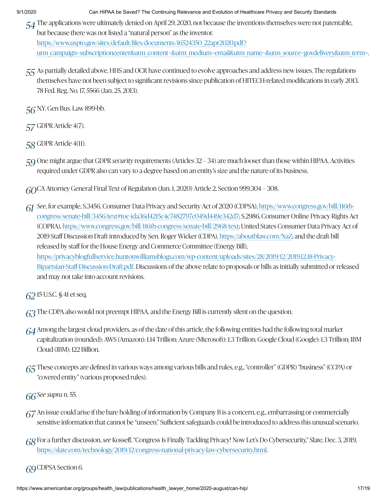- The applications were ultimately denied on April 29, 2020, not because the inventions themselves were not patentable, *54* but because there was not listed a "natural person" as the inventor. [utm\\_campaign=subscriptioncenter&utm\\_content=&utm\\_medium=email&utm\\_name=&utm\\_source=govdelivery&utm\\_term](https://www.uspto.gov/sites/default/files/documents/16524350_22apr2020.pdf?utm_campaign=subscriptioncenter&utm_content=&utm_medium=email&utm_name=&utm_source=govdelivery&utm_term)= https://www.uspto.gov/sites/default/files/documents/16524350\_22apr2020.pdf?
- As partially detailed above, HHS and OCR have continued to evolve approaches and address new issues. The regulations *55* themselves have not been subject to significant revisions since publication of HITECH-related modifications in early 2013. 78 Fed. Reg. No. 17, 5566 (Jan. 25, 2013).
- N.Y. Gen Bus. Law 899-bb. *56*
- GDPR Article 4(7). *57*
- GDPR Article 4(11). *58*
- One might argue that GDPR *security* requirements (Articles 32 34) are much looser than those within HIPAA. Activities *59* required under GDPR also can vary to a degree based on an entity's size and the nature of its business.
- CA Attorney General Final Text of Regulation (Jun. 1, 2020) Article 2, Section 999.304 308. *60*
- 61 See, for example, S.3456, Consumer Data Privacy and Security Act of 2020 (CDPSA), https://www.congress.gov/bill/116th-; S.2986, Consumer Online Privacy Rights Act [congress/senate-bill/3456/text#toc-ida36d4215c4c7482797c049d449e342d7](https://www.congress.gov/bill/116th-congress/senate-bill/3456/text#toc-ida36d4215c4c7482797c049d449e342d7) (COPRA), <https://www.congress.gov/bill/116th-congress/senate-bill/2968/text>; United States Consumer Data Privacy Act of 2019 Staff Discussion Draft introduced by Sen. Roger Wicker (CDPA), <https://aboutblaw.com/NaZ>; and the draft bill released by staff for the House Energy and Commerce Committee (Energy Bill), Bipartsian-Staff-Discussion-Draft.pdf. Discussions of the above relate to proposals or bills as initially submitted or released and may not take into account revisions. [https://privacyblogfullservice.huntonwilliamsblogs.com/wp-content/uploads/sites/28/2019/12/2019.12.18Privacy-](https://privacyblogfullservice.huntonwilliamsblogs.com/wp-content/uploads/sites/28/2019/12/2019.12.18-Privacy-Bipartsian-Staff-Discussion-Draft.pdf)
- 15 U.S.C. § 41 et seq. *62*
- 63 The CDPA also would not preempt HIPAA, and the Energy Bill is currently silent on the question.
- Among the largest cloud providers, as of the date of this article, the following entities had the following total market *64* capitalization (rounded): AWS (Amazon): 1.14 Trillion; Azure (Microsoft): 1.3 Trillion; Google Cloud (Google): 1.3 Trillion; IBM Cloud (IBM): 122 Billion.
- These concepts are defined in various ways among various bills and rules, e.g., "controller" (GDPR) "business" (CCPA) or *65* "covered entity" (various proposed rules).
- *See supra* n. 55. *66*
- $67$  An issue could arise if the bare holding of information by Company B is a concern, e.g., embarrassing or commercially sensitive information that cannot be "unseen." Sufficient safeguards could be introduced to address this unusual scenario.
- For a further discussion, *see* Kosseff, "Congress Is Finally Tackling Privacy! Now Let's Do Cybersecurity," Slate, Dec. 3, 2019, *68* https://slate.com/technology/2019/12/congress-national-privacy-law-cybersecurity.html.

CDPSA Section 6. *69*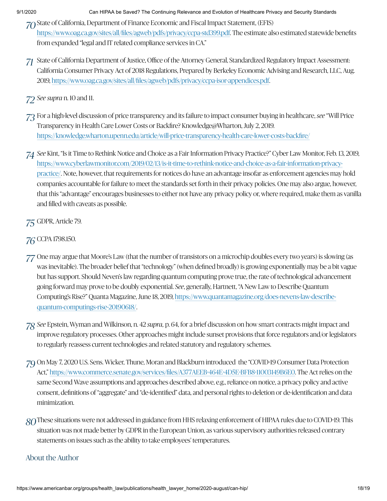- State of California, Department of Finance Economic and Fiscal Impact Statement, (EFIS) *70* . The estimate also estimated statewide benefits [https://www.oag.ca.gov/sites/all/files/aweb/pdfs/privacy/ccpa-std399.pdf](https://www.oag.ca.gov/sites/all/files/agweb/pdfs/privacy/ccpa-std399.pdf) from expanded "legal and IT related compliance services in CA."
- State of California Department of Justice, Office of the Attorney General, Standardized Regulatory Impact Assessment: *71* California Consumer Privacy Act of 2018 Regulations, Prepared by Berkeley Economic Advising and Research, LLC, Aug. 2019, https://www.oag.ca.gov/sites/all/files/agweb/pdfs/privacy/ccpa-isor-appendices.pdf.
- *See supra* n. 10 and 11. *72*
- For a high-level discussion of price transparency and its failure to impact consumer buying in healthcare, *see* "Will Price *73* Transparency in Health Care Lower Costs or Backfire? Knowledge@Wharton, July 2, 2019. <https://knowledge.wharton.upenn.edu/article/will-price-transparency-health-care-lower-costs-backfire/>
- *See* Kint, "Is it Time to Rethink Notice and Choice as a Fair Information Privacy Practice?" Cyber Law Monitor, Feb. 13, 2019, *74* . Note, however, that requirements for notices do have an advantage insofar as enforcement agencies may hold practice/ companies accountable for failure to meet the standards set forth in their privacy policies. One may also argue, however, that this "advantage" encourages businesses to either not have any privacy policy or, where required, make them as vanilla and filled with caveats as possible. [https://www.cyberlawmonitor.com/2019/02/13/is-it-time-to-rethink-notice-and-choice-as-a-fair-information-privacy-](https://www.cyberlawmonitor.com/2019/02/13/is-it-time-to-rethink-notice-and-choice-as-a-fair-information-privacy-practice/)
- GDPR, Article 79. *75*
- CCPA 1798.150. *76*
- One may argue that Moore's Law (that the number of transistors on a microchip doubles every two years) is slowing (as *77* was inevitable). The broader belief that "technology" (when defined broadly) is growing exponentially may be a bit vague but has support. Should Neven's law regarding quantum computing prove true, the rate of technological advancement going forward may prove to be doubly exponential. *See*, generally, Hartnett, "A New Law to Describe Quantum Computing's Rise?" Quanta Magazine, June 18, 2019, [https://www.quantamagazine.org/does-nevens-law-describe-](https://www.quantamagazine.org/does-nevens-law-describe-quantum-computings-rise-20190618/). quantum-computings-rise-20190618/
- *See* Epstein, Wyman and Wilkinson, n. 42 *supra,* p. 64, for a brief discussion on how smart contracts might impact and *78* improve regulatory processes. Other approaches might include sunset provisions that force regulators and/or legislators to regularly reassess current technologies and related statutory and regulatory schemes.
- On May 7, 2020 U.S. Sens. Wicker, Thune, Moran and Blackburn introduced the "COVID19 Consumer Data Protection *79* Act," https://www.commerce.senate.gov/services/files/A377AEEB-464E-4D5E-BFB8-11003149B6E0. The Act relies on the same Second Wave assumptions and approaches described above, e.g., reliance on notice, a privacy policy and active consent, definitions of "aggregate" and "de-identified" data, and personal rights to deletion or de-identification and data minimization.
- These situations were not addressed in guidance from HHS relaxing enforcement of HIPAA rules due to COVID19. This *80*situation was not made better by GDPR in the European Union, as various supervisory authorities released contrary statements on issues such as the ability to take employees' temperatures.

# About the Author